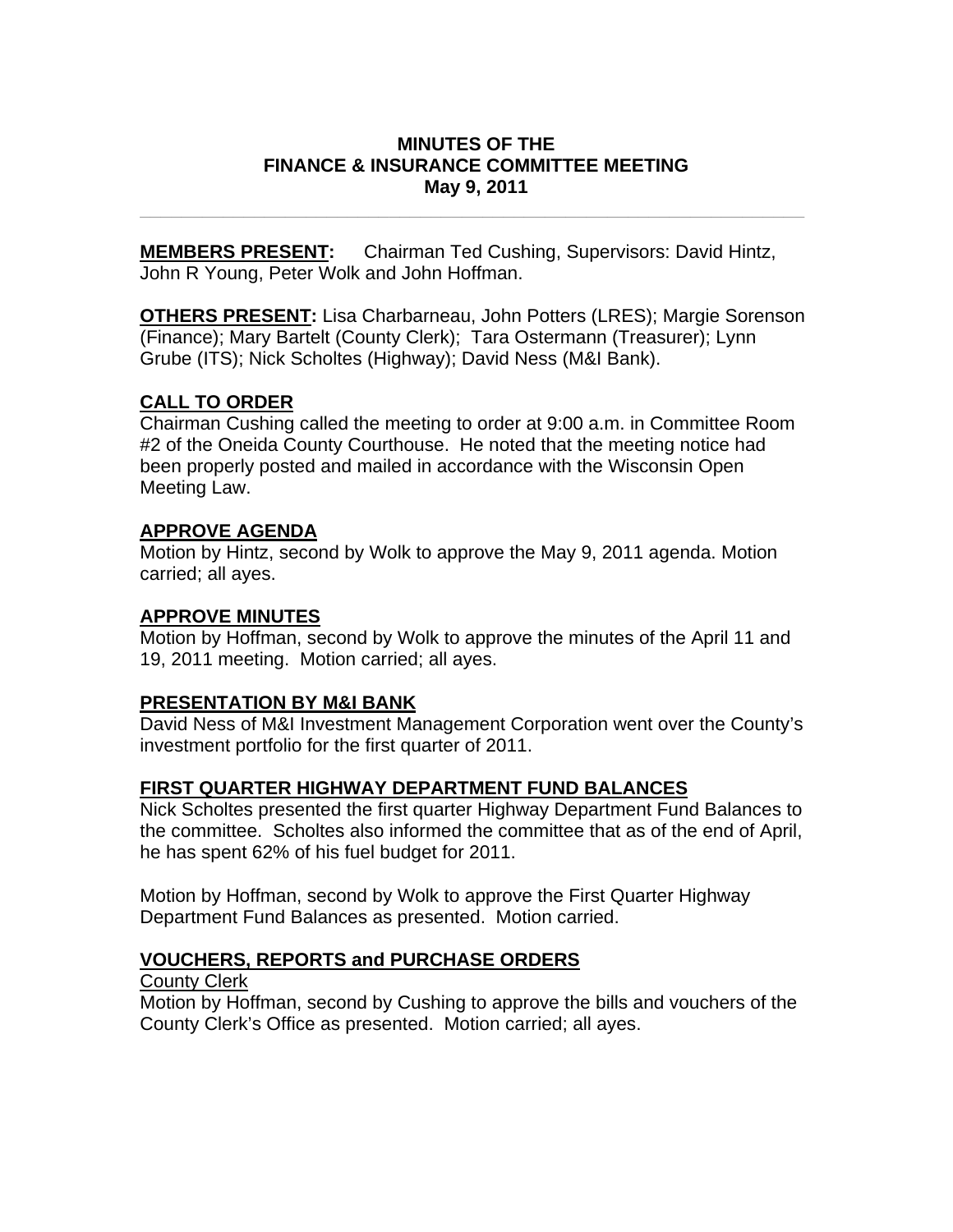### **MINUTES OF THE FINANCE & INSURANCE COMMITTEE MEETING May 9, 2011**

**\_\_\_\_\_\_\_\_\_\_\_\_\_\_\_\_\_\_\_\_\_\_\_\_\_\_\_\_\_\_\_\_\_\_\_\_\_\_\_\_\_\_\_\_\_\_\_\_\_\_\_\_\_\_\_\_\_\_\_\_\_\_\_\_** 

**MEMBERS PRESENT:** Chairman Ted Cushing, Supervisors: David Hintz, John R Young, Peter Wolk and John Hoffman.

**OTHERS PRESENT:** Lisa Charbarneau, John Potters (LRES); Margie Sorenson (Finance); Mary Bartelt (County Clerk); Tara Ostermann (Treasurer); Lynn Grube (ITS); Nick Scholtes (Highway); David Ness (M&I Bank).

## **CALL TO ORDER**

Chairman Cushing called the meeting to order at 9:00 a.m. in Committee Room #2 of the Oneida County Courthouse. He noted that the meeting notice had been properly posted and mailed in accordance with the Wisconsin Open Meeting Law.

## **APPROVE AGENDA**

Motion by Hintz, second by Wolk to approve the May 9, 2011 agenda. Motion carried; all ayes.

## **APPROVE MINUTES**

Motion by Hoffman, second by Wolk to approve the minutes of the April 11 and 19, 2011 meeting. Motion carried; all ayes.

## **PRESENTATION BY M&I BANK**

David Ness of M&I Investment Management Corporation went over the County's investment portfolio for the first quarter of 2011.

# **FIRST QUARTER HIGHWAY DEPARTMENT FUND BALANCES**

Nick Scholtes presented the first quarter Highway Department Fund Balances to the committee. Scholtes also informed the committee that as of the end of April, he has spent 62% of his fuel budget for 2011.

Motion by Hoffman, second by Wolk to approve the First Quarter Highway Department Fund Balances as presented. Motion carried.

# **VOUCHERS, REPORTS and PURCHASE ORDERS**

County Clerk

Motion by Hoffman, second by Cushing to approve the bills and vouchers of the County Clerk's Office as presented. Motion carried; all ayes.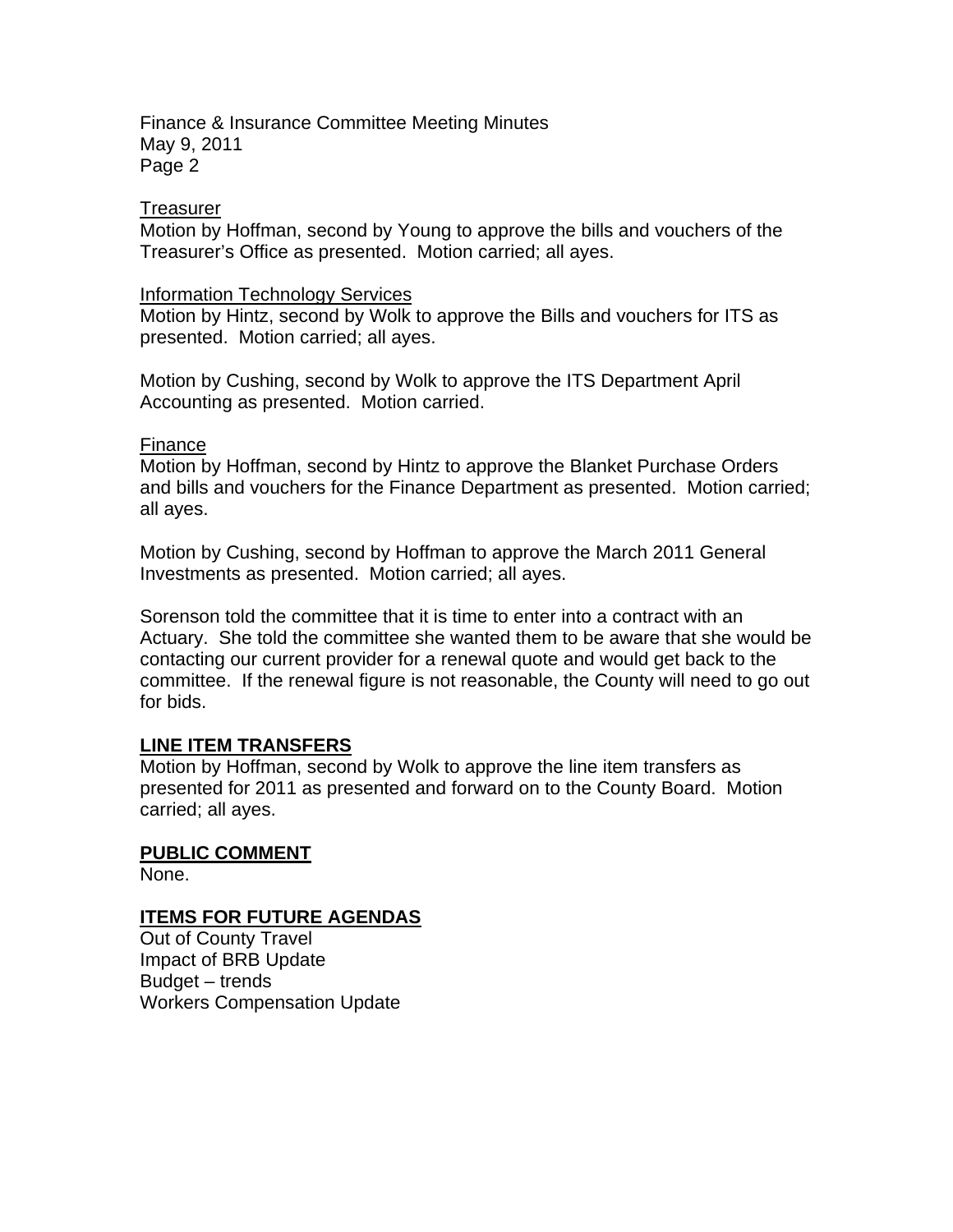Finance & Insurance Committee Meeting Minutes May 9, 2011 Page 2

#### **Treasurer**

Motion by Hoffman, second by Young to approve the bills and vouchers of the Treasurer's Office as presented. Motion carried; all ayes.

#### Information Technology Services

Motion by Hintz, second by Wolk to approve the Bills and vouchers for ITS as presented. Motion carried; all ayes.

Motion by Cushing, second by Wolk to approve the ITS Department April Accounting as presented. Motion carried.

#### Finance

Motion by Hoffman, second by Hintz to approve the Blanket Purchase Orders and bills and vouchers for the Finance Department as presented. Motion carried; all ayes.

Motion by Cushing, second by Hoffman to approve the March 2011 General Investments as presented. Motion carried; all ayes.

Sorenson told the committee that it is time to enter into a contract with an Actuary. She told the committee she wanted them to be aware that she would be contacting our current provider for a renewal quote and would get back to the committee. If the renewal figure is not reasonable, the County will need to go out for bids.

#### **LINE ITEM TRANSFERS**

Motion by Hoffman, second by Wolk to approve the line item transfers as presented for 2011 as presented and forward on to the County Board. Motion carried; all ayes.

### **PUBLIC COMMENT**

None.

### **ITEMS FOR FUTURE AGENDAS**

Out of County Travel Impact of BRB Update Budget – trends Workers Compensation Update